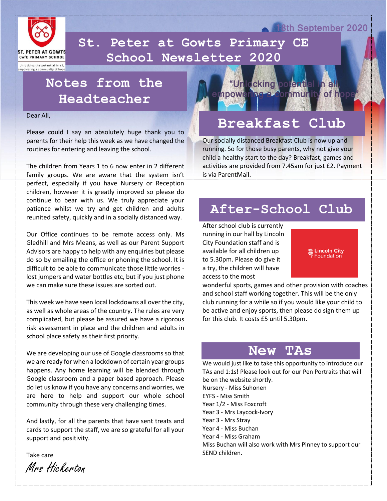

 **School Newsletter 2020St. Peter at Gowts Primary CE** 

Unlocking the potential in all, mpowering a community of hope

#### **Notes from the Headteacher**

Dear All,

Please could I say an absolutely huge thank you to parents for their help this week as we have changed the routines for entering and leaving the school.

The children from Years 1 to 6 now enter in 2 different family groups. We are aware that the system isn't perfect, especially if you have Nursery or Reception children, however it is greatly improved so please do continue to bear with us. We truly appreciate your patience whilst we try and get children and adults reunited safety, quickly and in a socially distanced way.

Our Office continues to be remote access only. Ms Gledhill and Mrs Means, as well as our Parent Support Advisors are happy to help with any enquiries but please do so by emailing the office or phoning the school. It is difficult to be able to communicate those little worries lost jumpers and water bottles etc, but if you just phone we can make sure these issues are sorted out.

This week we have seen local lockdowns all over the city, as well as whole areas of the country. The rules are very complicated, but please be assured we have a rigorous risk assessment in place and the children and adults in school place safety as their first priority.

We are developing our use of Google classrooms so that we are ready for when a lockdown of certain year groups happens. Any home learning will be blended through Google classroom and a paper based approach. Please do let us know if you have any concerns and worries, we are here to help and support our whole school community through these very challenging times.

And lastly, for all the parents that have sent treats and cards to support the staff, we are so grateful for all your support and positivity.

Take care

Mrs Hickerton



### **Breakfast Club**

Our socially distanced Breakfast Club is now up and running. So for those busy parents, why not give your child a healthy start to the day? Breakfast, games and activities are provided from 7.45am for just £2. Payment is via ParentMail.

#### **After-School Club**

After school club is currently running in our hall by Lincoln City Foundation staff and is available for all children up to 5.30pm. Please do give it a try, the children will have access to the most



18th September 2020

wonderful sports, games and other provision with coaches and school staff working together. This will be the only club running for a while so if you would like your child to be active and enjoy sports, then please do sign them up for this club. It costs £5 until 5.30pm.

#### **New TAs**

We would just like to take this opportunity to introduce our TAs and 1:1s! Please look out for our Pen Portraits that will be on the website shortly. Nursery - Miss Suhonen EYFS - Miss Smith Year 1/2 - Miss Foxcroft Year 3 - Mrs Laycock-Ivory Year 3 - Mrs Stray Year 4 - Miss Buchan Year 4 - Miss Graham Miss Buchan will also work with Mrs Pinney to support our SEND children.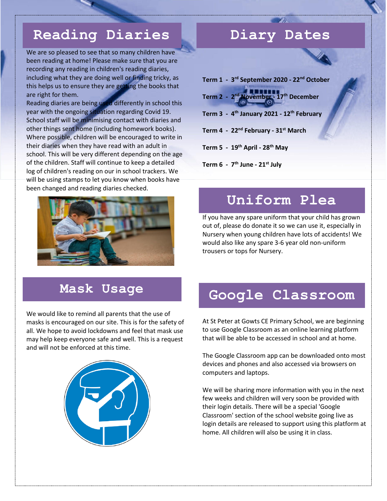## **Reading Diaries**

We are so pleased to see that so many children have been reading at home! Please make sure that you are recording any reading in children's reading diaries, including what they are doing well or finding tricky, as this helps us to ensure they are getting the books that are right for them.

Reading diaries are being used differently in school this year with the ongoing situation regarding Covid 19. School staff will be minimising contact with diaries and other things sent home (including homework books). Where possible, children will be encouraged to write in their diaries when they have read with an adult in school. This will be very different depending on the age of the children. Staff will continue to keep a detailed log of children's reading on our in school trackers. We will be using stamps to let you know when books have been changed and reading diaries checked.



#### **Diary Dates**

**Term 1 - 3 rd September 2020 - 22nd October Term 2 - 2 nd November - 17th December Term 3 - 4 th January 2021 - 12th February Term 4 - 22nd February - 31st March Term 5 - 19th April - 28th May Term 6 - 7 th June - 21st July**

#### **Uniform Plea**

If you have any spare uniform that your child has grown out of, please do donate it so we can use it, especially in Nursery when young children have lots of accidents! We would also like any spare 3-6 year old non-uniform trousers or tops for Nursery.

#### **Mask Usage**

We would like to remind all parents that the use of masks is encouraged on our site. This is for the safety of all. We hope to avoid lockdowns and feel that mask use may help keep everyone safe and well. This is a request and will not be enforced at this time.



#### **Google Classroom**

At St Peter at Gowts CE Primary School, we are beginning to use Google Classroom as an online learning platform that will be able to be accessed in school and at home.

The Google Classroom app can be downloaded onto most devices and phones and also accessed via browsers on computers and laptops.

We will be sharing more information with you in the next few weeks and children will very soon be provided with their login details. There will be a special 'Google Classroom' section of the school website going live as login details are released to support using this platform at home. All children will also be using it in class.